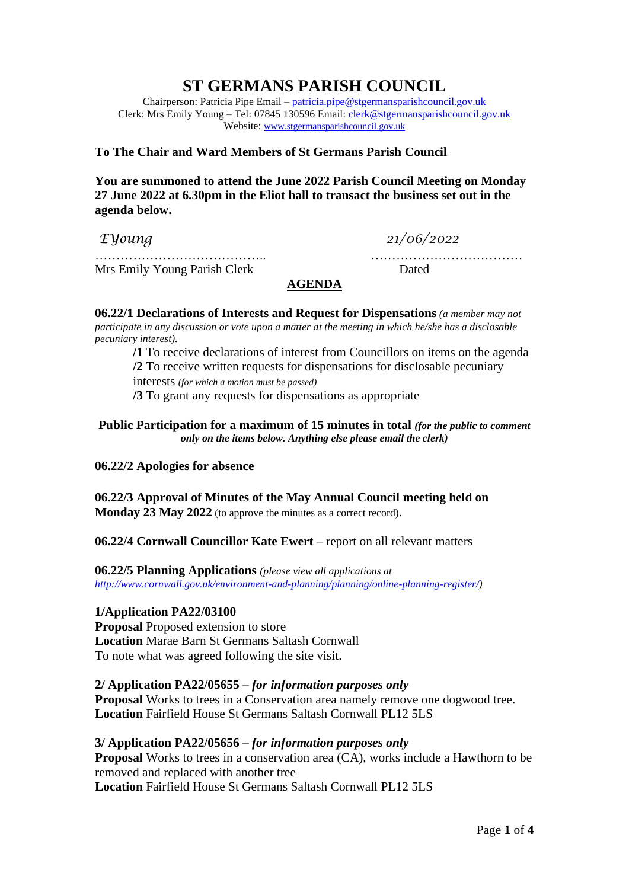# **ST GERMANS PARISH COUNCIL**

Chairperson: Patricia Pipe Email – [patricia.pipe@stgermansparishcouncil.gov.uk](mailto:patricia.pipe@stgermansparishcouncil.gov.uk) Clerk: Mrs Emily Young – Tel: 07845 130596 Email: [clerk@stgermansparishcouncil.gov.uk](mailto:clerk@stgermansparishcouncil.gov.uk) Website: [www.stgermansparishcouncil.gov.uk](http://www.stgermansparishcouncil.gov.uk/)

## **To The Chair and Ward Members of St Germans Parish Council**

**You are summoned to attend the June 2022 Parish Council Meeting on Monday 27 June 2022 at 6.30pm in the Eliot hall to transact the business set out in the agenda below.**

*EYoung 21/06/2022*

Mrs Emily Young Parish Clerk Dated

# **AGENDA**

………………………………….. ………………………………

**06.22/1 Declarations of Interests and Request for Dispensations** *(a member may not participate in any discussion or vote upon a matter at the meeting in which he/she has a disclosable pecuniary interest).*

**/1** To receive declarations of interest from Councillors on items on the agenda **/2** To receive written requests for dispensations for disclosable pecuniary interests *(for which a motion must be passed)* **/3** To grant any requests for dispensations as appropriate

**Public Participation for a maximum of 15 minutes in total** *(for the public to comment only on the items below. Anything else please email the clerk)*

## **06.22/2 Apologies for absence**

**06.22/3 Approval of Minutes of the May Annual Council meeting held on Monday 23 May 2022** (to approve the minutes as a correct record).

**06.22/4 Cornwall Councillor Kate Ewert** – report on all relevant matters

**06.22/5 Planning Applications** *(please view all applications at [http://www.cornwall.gov.uk/environment-and-planning/planning/online-planning-register/\)](http://www.cornwall.gov.uk/environment-and-planning/planning/online-planning-register/)*

# **1/Application PA22/03100**

**Proposal** Proposed extension to store **Location** Marae Barn St Germans Saltash Cornwall To note what was agreed following the site visit.

## **2/ Application PA22/05655** – *for information purposes only*

**Proposal** Works to trees in a Conservation area namely remove one dogwood tree. **Location** Fairfield House St Germans Saltash Cornwall PL12 5LS

# **3/ Application PA22/05656 –** *for information purposes only*

**Proposal** Works to trees in a conservation area (CA), works include a Hawthorn to be removed and replaced with another tree **Location** Fairfield House St Germans Saltash Cornwall PL12 5LS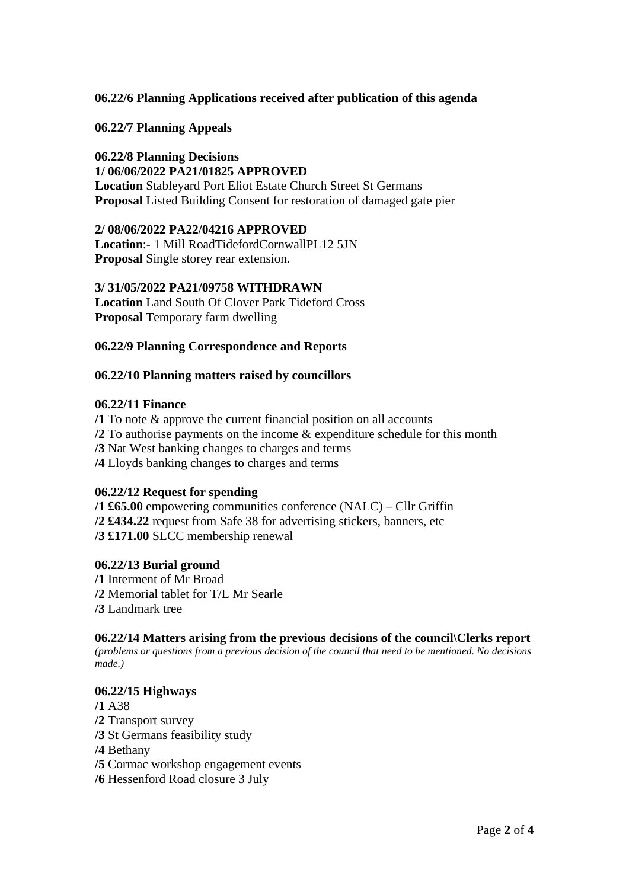# **06.22/6 Planning Applications received after publication of this agenda**

**06.22/7 Planning Appeals**

## **06.22/8 Planning Decisions**

#### **1/ 06/06/2022 PA21/01825 APPROVED**

**Location** Stableyard Port Eliot Estate Church Street St Germans **Proposal** Listed Building Consent for restoration of damaged gate pier

## **2/ 08/06/2022 PA22/04216 APPROVED**

**Location**:- 1 Mill RoadTidefordCornwallPL12 5JN **Proposal** Single storey rear extension.

#### **3/ 31/05/2022 PA21/09758 WITHDRAWN**

**Location** Land South Of Clover Park Tideford Cross **Proposal** Temporary farm dwelling

## **06.22/9 Planning Correspondence and Reports**

#### **06.22/10 Planning matters raised by councillors**

#### **06.22/11 Finance**

**/1** To note & approve the current financial position on all accounts **/2** To authorise payments on the income & expenditure schedule for this month **/3** Nat West banking changes to charges and terms **/4** Lloyds banking changes to charges and terms

## **06.22/12 Request for spending**

**/1 £65.00** empowering communities conference (NALC) – Cllr Griffin **/2 £434.22** request from Safe 38 for advertising stickers, banners, etc **/3 £171.00** SLCC membership renewal

## **06.22/13 Burial ground**

**/1** Interment of Mr Broad **/2** Memorial tablet for T/L Mr Searle **/3** Landmark tree

## **06.22/14 Matters arising from the previous decisions of the council\Clerks report**

*(problems or questions from a previous decision of the council that need to be mentioned. No decisions made.)*

## **06.22/15 Highways**

**/1** A38 **/2** Transport survey **/3** St Germans feasibility study **/4** Bethany

- **/5** Cormac workshop engagement events
- **/6** Hessenford Road closure 3 July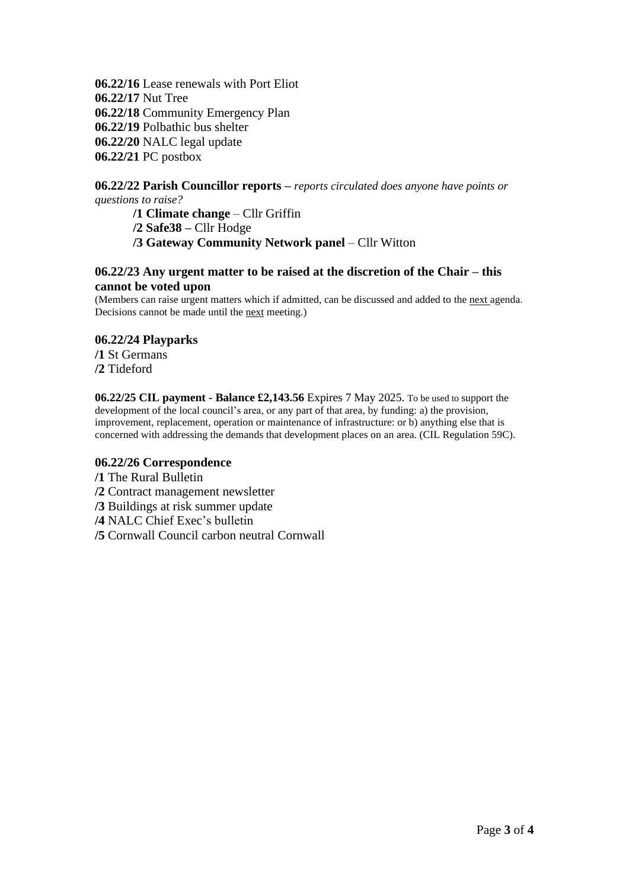**06.22/16** Lease renewals with Port Eliot **06.22/17** Nut Tree **06.22/18** Community Emergency Plan **06.22/19** Polbathic bus shelter **06.22/20** NALC legal update **06.22/21** PC postbox

## **06.22/22 Parish Councillor reports –** *reports circulated does anyone have points or questions to raise?*

**/1 Climate change** – Cllr Griffin

**/2 Safe38 –** Cllr Hodge

**/3 Gateway Community Network panel** – Cllr Witton

## **06.22/23 Any urgent matter to be raised at the discretion of the Chair – this cannot be voted upon**

(Members can raise urgent matters which if admitted, can be discussed and added to the next agenda. Decisions cannot be made until the next meeting.)

## **06.22/24 Playparks**

**/1** St Germans **/2** Tideford

**06.22/25 CIL payment - Balance £2,143.56** Expires 7 May 2025. To be used to support the development of the local council's area, or any part of that area, by funding: a) the provision, improvement, replacement, operation or maintenance of infrastructure: or b) anything else that is concerned with addressing the demands that development places on an area. (CIL Regulation 59C).

## **06.22/26 Correspondence**

**/1** The Rural Bulletin

- **/2** Contract management newsletter
- **/3** Buildings at risk summer update
- **/4** NALC Chief Exec's bulletin
- **/5** Cornwall Council carbon neutral Cornwall